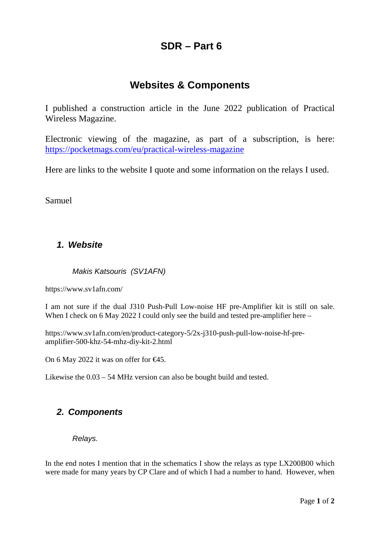# **SDR – Part 6**

# **Websites & Components**

I published a construction article in the June 2022 publication of Practical Wireless Magazine.

Electronic viewing of the magazine, as part of a subscription, is here: <https://pocketmags.com/eu/practical-wireless-magazine>

Here are links to the website I quote and some information on the relays I used.

Samuel

## *1. Website*

*Makis Katsouris (SV1AFN)*

https://www.sv1afn.com/

I am not sure if the dual J310 Push-Pull Low-noise HF pre-Amplifier kit is still on sale. When I check on 6 May 2022 I could only see the build and tested pre-amplifier here –

https://www.sv1afn.com/en/product-category-5/2x-j310-push-pull-low-noise-hf-preamplifier-500-khz-54-mhz-diy-kit-2.html

On 6 May 2022 it was on offer for  $\epsilon 45$ .

Likewise the 0.03 – 54 MHz version can also be bought build and tested.

## *2. Components*

*Relays.*

In the end notes I mention that in the schematics I show the relays as type LX200B00 which were made for many years by CP Clare and of which I had a number to hand. However, when